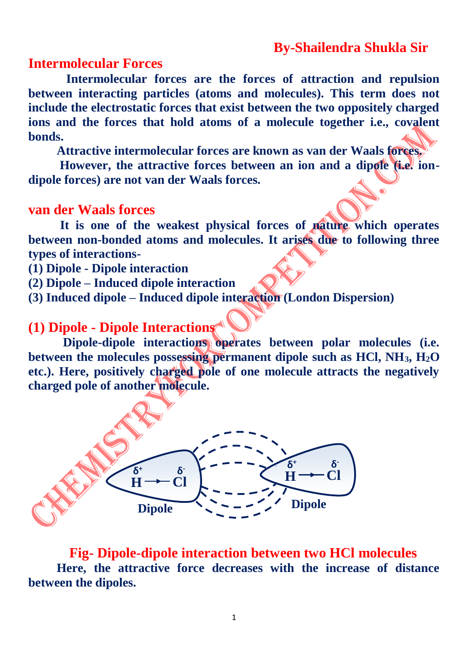## **By-Shailendra Shukla Sir**

#### **Intermolecular Forces**

 **Intermolecular forces are the forces of attraction and repulsion between interacting particles (atoms and molecules). This term does not include the electrostatic forces that exist between the two oppositely charged ions and the forces that hold atoms of a molecule together i.e., covalent bonds.**

 **Attractive intermolecular forces are known as van der Waals forces.**

 **However, the attractive forces between an ion and a dipole (i.e. iondipole forces) are not van der Waals forces.**

#### **van der Waals forces**

 **It is one of the weakest physical forces of nature which operates between non-bonded atoms and molecules. It arises due to following three types of interactions-**

- **(1) Dipole - Dipole interaction**
- **(2) Dipole – Induced dipole interaction**
- **(3) Induced dipole – Induced dipole interaction (London Dispersion)**

## **(1) Dipole - Dipole Interactions**

 **Dipole-dipole interactions operates between polar molecules (i.e. between the molecules possessing permanent dipole such as HCl, NH3, H2O etc.). Here, positively charged pole of one molecule attracts the negatively charged pole of another molecule.**



 **Fig- Dipole-dipole interaction between two HCl molecules Here, the attractive force decreases with the increase of distance between the dipoles.**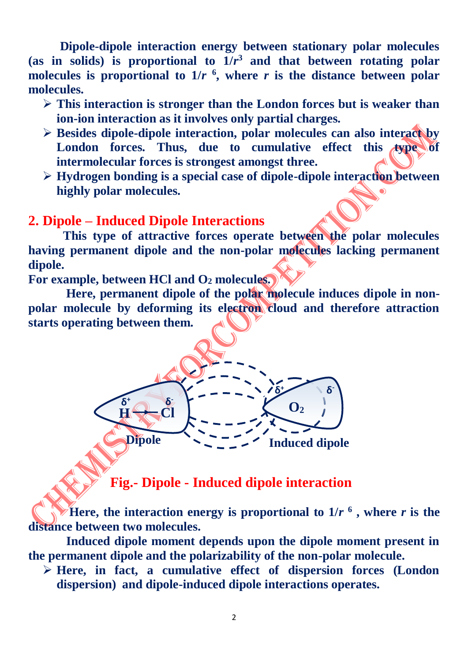**Dipole-dipole interaction energy between stationary polar molecules**  (as in solids) is proportional to  $1/r^3$  and that between rotating polar molecules is proportional to  $1/r$ <sup>6</sup>, where *r* is the distance between polar **molecules.** 

- **This interaction is stronger than the London forces but is weaker than ion-ion interaction as it involves only partial charges.**
- **Besides dipole-dipole interaction, polar molecules can also interact by**  London forces. Thus, due to cumulative effect this type of **intermolecular forces is strongest amongst three.**
- **Hydrogen bonding is a special case of dipole-dipole interaction between highly polar molecules.**

#### **2. Dipole – Induced Dipole Interactions**

 **This type of attractive forces operate between the polar molecules having permanent dipole and the non-polar molecules lacking permanent dipole.** 

**For example, between HCl and O<sup>2</sup> molecules.**

**δ**

**<sup>+</sup> δ - H Cl**

 **Here, permanent dipole of the polar molecule induces dipole in nonpolar molecule by deforming its electron cloud and therefore attraction starts operating between them.** 

 **Fig.- Dipole - Induced dipole interaction**

**Dipole Induced dipole** 

**δ**

**<sup>+</sup> δ**

 $\mathbf{O}_2$ 

**-**

 **Figure**, the interaction energy is proportional to  $1/r<sup>6</sup>$ , where *r* is the **distance between two molecules.**

 **Induced dipole moment depends upon the dipole moment present in the permanent dipole and the polarizability of the non-polar molecule.**

 **Here, in fact, a cumulative effect of dispersion forces (London dispersion) and dipole-induced dipole interactions operates.**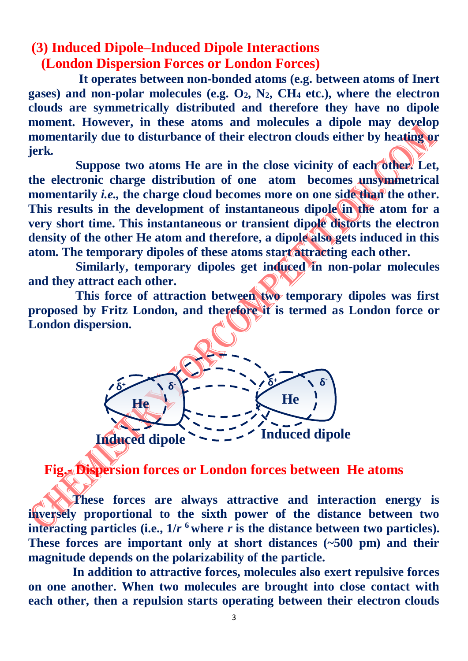## **(3) Induced Dipole–Induced Dipole Interactions (London Dispersion Forces or London Forces)**

 **It operates between non-bonded atoms (e.g. between atoms of Inert gases) and non-polar molecules (e.g. O2, N2, CH<sup>4</sup> etc.), where the electron clouds are symmetrically distributed and therefore they have no dipole moment. However, in these atoms and molecules a dipole may develop momentarily due to disturbance of their electron clouds either by heating or jerk.** 

 **Suppose two atoms He are in the close vicinity of each other. Let, the electronic charge distribution of one atom becomes unsymmetrical**  momentarily *i.e.*, the charge cloud becomes more on one side than the other. **This results in the development of instantaneous dipole in the atom for a very short time. This instantaneous or transient dipole distorts the electron density of the other He atom and therefore, a dipole also gets induced in this atom. The temporary dipoles of these atoms start attracting each other.**

 **Similarly, temporary dipoles get induced in non-polar molecules and they attract each other.** 

 **This force of attraction between two temporary dipoles was first proposed by Fritz London, and therefore it is termed as London force or London dispersion.**



 **Fig.- Dispersion forces or London forces between He atoms**

 **These forces are always attractive and interaction energy is inversely proportional to the sixth power of the distance between two interacting particles (i.e.,**  $1/r$  **<sup>6</sup> where** *r* **is the distance between two particles). These forces are important only at short distances (~500 pm) and their magnitude depends on the polarizability of the particle.**

 **In addition to attractive forces, molecules also exert repulsive forces on one another. When two molecules are brought into close contact with each other, then a repulsion starts operating between their electron clouds**